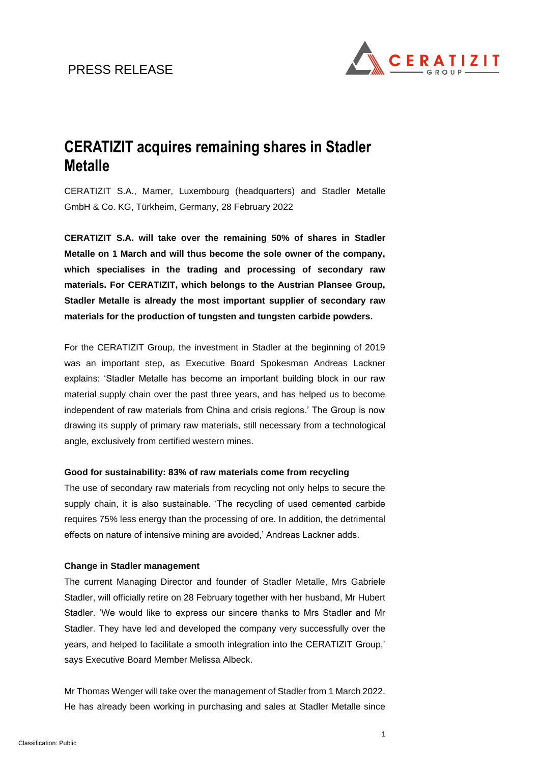# PRESS RELEASE



# **CERATIZIT acquires remaining shares in Stadler Metalle**

CERATIZIT S.A., Mamer, Luxembourg (headquarters) and Stadler Metalle GmbH & Co. KG, Türkheim, Germany, 28 February 2022

**CERATIZIT S.A. will take over the remaining 50% of shares in Stadler Metalle on 1 March and will thus become the sole owner of the company, which specialises in the trading and processing of secondary raw materials. For CERATIZIT, which belongs to the Austrian Plansee Group, Stadler Metalle is already the most important supplier of secondary raw materials for the production of tungsten and tungsten carbide powders.**

For the CERATIZIT Group, the investment in Stadler at the beginning of 2019 was an important step, as Executive Board Spokesman Andreas Lackner explains: 'Stadler Metalle has become an important building block in our raw material supply chain over the past three years, and has helped us to become independent of raw materials from China and crisis regions.' The Group is now drawing its supply of primary raw materials, still necessary from a technological angle, exclusively from certified western mines.

## **Good for sustainability: 83% of raw materials come from recycling**

The use of secondary raw materials from recycling not only helps to secure the supply chain, it is also sustainable. 'The recycling of used cemented carbide requires 75% less energy than the processing of ore. In addition, the detrimental effects on nature of intensive mining are avoided,' Andreas Lackner adds.

#### **Change in Stadler management**

The current Managing Director and founder of Stadler Metalle, Mrs Gabriele Stadler, will officially retire on 28 February together with her husband, Mr Hubert Stadler. 'We would like to express our sincere thanks to Mrs Stadler and Mr Stadler. They have led and developed the company very successfully over the years, and helped to facilitate a smooth integration into the CERATIZIT Group,' says Executive Board Member Melissa Albeck.

Mr Thomas Wenger will take over the management of Stadler from 1 March 2022. He has already been working in purchasing and sales at Stadler Metalle since